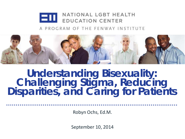

A PROGRAM OF THE FENWAY INSTITUTE



# **Understanding Bisexuality: Challenging Stigma, Reducing Disparities, and Caring for Patients**

Robyn Ochs, Ed.M.

September 10, 2014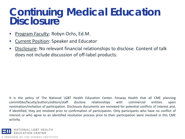### **Continuing Medical Education Disclosure**

- Program Faculty: Robyn Ochs, Ed.M.
- Current Position: Speaker and Educator
- Disclosure: No relevant financial relationships to disclose. Content of talk does not include discussion of off-label products.

It is the policy of The National LGBT Health Education Center, Fenway Health that all CME planning committee/faculty/authors/editors/staff disclose relationships with commercial entities upon nomination/invitation of participation. Disclosure documents are reviewed for potential conflicts of interest and, if identified, they are resolved prior to confirmation of participation. Only participants who have no conflict of interest or who agree to an identified resolution process prior to their participation were involved in this CME activity.

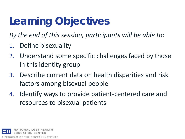# **Learning Objectives**

*By the end of this session, participants will be able to:*

- 1. Define bisexuality
- 2. Understand some specific challenges faced by those in this identity group
- 3. Describe current data on health disparities and risk factors among bisexual people
- 4. Identify ways to provide patient-centered care and resources to bisexual patients

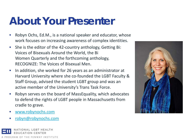### **About Your Presenter**

- **Robyn Ochs, Ed.M., is a national speaker and educator, whose** work focuses on increasing awareness of complex identities.
- She is the editor of the 42-country anthology, Getting Bi: Voices of Bisexuals Around the World, the Bi Women Quarterly and the forthcoming anthology, RECOGNIZE: The Voices of Bisexual Men.
- In addition, she worked for 26 years as an administrator at Harvard University where she co-founded the LGBT Faculty & Staff Group, advised the student LGBT group and was an active member of the University's Trans Task Force.
- Robyn serves on the board of MassEquality, which advocates to defend the rights of LGBT people in Massachusetts from cradle to grave.
- [www.robynochs.com](http://www.robynochs.com/)
- [robyn@robynochs.com](mailto:robyn@robynochs.com)



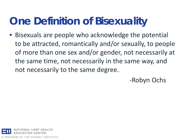### **One Definition of Bisexuality**

 Bisexuals are people who acknowledge the potential to be attracted, romantically and/or sexually, to people of more than one sex and/or gender, not necessarily at the same time, not necessarily in the same way, and not necessarily to the same degree.

-Robyn Ochs

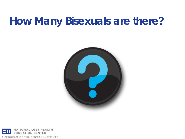### **How Many Bisexuals are there?**



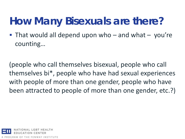### **How Many Bisexuals are there?**

**That would all depend upon who**  $-$  and what  $-$  you're counting…

(people who call themselves bisexual, people who call themselves bi\*, people who have had sexual experiences with people of more than one gender, people who have been attracted to people of more than one gender, etc.?)

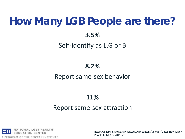### **How Many LGB People are there?**

#### **3.5%**

### Self-identify as L,G or B

### **8.2%**

#### Report same-sex behavior

#### **11%**

### Report same-sex attraction



http://williamsinstitute.law.ucla.edu/wp-content/uploads/Gates-How-Many-People-LGBT-Apr-2011.pdf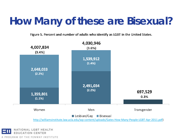### **How Many of these are Bisexual?**

Figure 5. Percent and number of adults who identify as LGBT in the United States.



**GBT HEALTH** UCATION CENTER A PROGRAM OF THE FENWAY INSTITUTE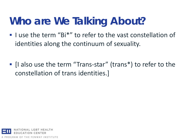### **Who are We Talking About?**

- I use the term "Bi\*" to refer to the vast constellation of identities along the continuum of sexuality.
- [I also use the term "Trans-star" (trans\*) to refer to the constellation of trans identities.]

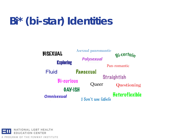### **Bi\* (bi-star) Identities**

Asexual panromantic **BISEXUAL** Bi-certain **Polysexual Exploring** Pan-romantic Pansexual **Fluid Straightish Bi-curious** Queer Questioning GAY-ISH **Heteroflexible Omnisexual** I Son't use labels

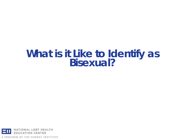# What is it Like to Identify as<br>Bisexual?



A PROG AM OF THE FENWAY INSTITUTE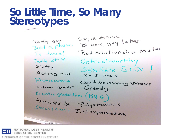### **So Little Time, So Many Stereotypes**

Gay in denial<br>Bi Now, gay later Really gay Just a phase In denial Bad relationship mater Really str 8 Untrustworthy  $S1vHy$ SEX SEX SEX! Acting out  $3 - 50meS$ Promiscuous Can't be mongy amous 2-beer queer Greedy Biuntil graduation (B4 G) Everyone's bi Polyamorous Doesn't exist Just experimenting



OGRAM OF THE FENWAY INSTITUTE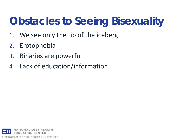- 1. We see only the tip of the iceberg
- 2. Erotophobia
- 3. Binaries are powerful
- 4. Lack of education/information

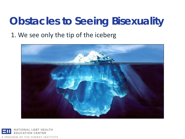1. We see only the tip of the iceberg



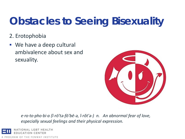- 2. Erotophobia
- We have a deep cultural ambivalence about sex and sexuality.



*e·ro·to·pho·bi·a (ĭ-rō'tə-fō'bē-ə, ĭ-rŏt'ə-) n. An abnormal fear of love, especially sexual feelings and their physical expression.*

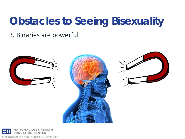### 3. Binaries are powerful



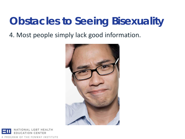4. Most people simply lack good information.



LTH M OF THE FENWAY INSTITUTE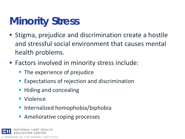### **Minority Stress**

- **Stigma, prejudice and discrimination create a hostile** and stressful social environment that causes mental health problems.
- **Factors involved in minority stress include:** 
	- **The experience of prejudice**
	- Expectations of rejection and discrimination
	- Hiding and concealing
	- **U** Violence
	- Internalized homophobia/biphobia
	- Ameliorative coping processes

AM OF THE FENWAY INSTITUTE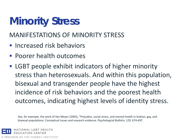### **Minority Stress**

MANIFESTATIONS OF MINORITY STRESS

- **Increased risk behaviors**
- **Poorer health outcomes**
- **EXA)** LGBT people exhibit indicators of higher minority stress than heterosexuals. And within this population, bisexual and transgender people have the highest incidence of risk behaviors and the poorest health outcomes, indicating highest levels of identity stress.

See, for example, the work of Ilan Meyer (2003), "Prejudice, social stress, and mental health in lesbian, gay, and bisexual populations: Conceptual issues and research evidence. *Psychological Bulletin, 129*, 674-697.

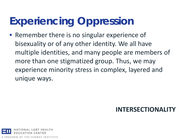■ Remember there is no singular experience of bisexuality or of any other identity. We all have multiple identities, and many people are members of more than one stigmatized group. Thus, we may experience minority stress in complex, layered and unique ways.

### **INTERSECTIONALITY**

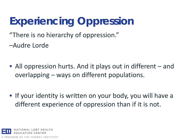"There is no hierarchy of oppression."

–Audre Lorde

- All oppression hurts. And it plays out in different and overlapping – ways on different populations.
- **If your identity is written on your body, you will have a** different experience of oppression than if it is not.

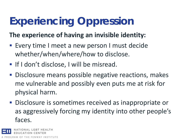### **The experience of having an invisible identity:**

- Every time I meet a new person I must decide whether/when/where/how to disclose.
- If I don't disclose, I will be misread.
- **Disclosure means possible negative reactions, makes** me vulnerable and possibly even puts me at risk for physical harm.
- **Disclosure is sometimes received as inappropriate or** as aggressively forcing my identity into other people's faces.

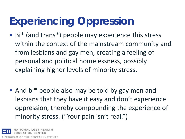- Bi<sup>\*</sup> (and trans<sup>\*</sup>) people may experience this stress within the context of the mainstream community and from lesbians and gay men, creating a feeling of personal and political homelessness, possibly explaining higher levels of minority stress.
- And bi\* people also may be told by gay men and lesbians that they have it easy and don't experience oppression, thereby compounding the experience of minority stress. ("Your pain isn't real.")

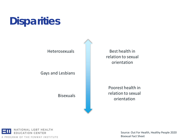### **Disparities**



Gays and Lesbians

**Bisexuals** 

Best health in relation to sexual orientation

Poorest health in relation to sexual orientation



Source: Out For Health, Healthy People 2020 Bisexual Fact Sheet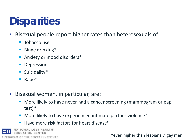### **Disparities**

- Bisexual people report higher rates than heterosexuals of:
	- Tobacco use
	- Binge drinking\*
	- Anxiety or mood disorders\*
	- Depression
	- **Suicidality\***
	- Rape\*
- Bisexual women, in particular, are:
	- More likely to have never had a cancer screening (mammogram or pap test)\*
	- **Nore likely to have experienced intimate partner violence\***
	- Have more risk factors for heart disease\*

A PROGRAM OF THE FENWAY INSTITUTE

\*even higher than lesbians & gay men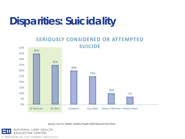### **Disparities: Suicidality**



Source, Out For Health, Healthy People 2020 Bisexual Fact Sheet



A PROGRAM OF THE FENWAY INSTITUTE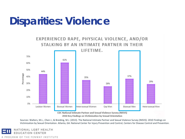### **Disparities: Violence**



Sources: Walters, M.L., Chen J., & Breiding, M.J. (2013). The National Intimate Partner and Sexual Violence Survey (NISVS): 2010 Findings on Victimization by Sexual Orientation. Atlanta, GA: National Center for Injury Prevention and Control, Centers for Disease Control and Prevention.



A PROGRAM OF THE FENWAY INSTITUTE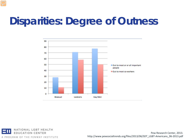### **Disparities: Degree of Outness**



NATIONAL LGBT HEALTH E **DUCATION CENTER** A PROGRAM OF THE FENWAY INSTITUTE

Pew Research Center, 2013. http://www.pewsocialtrends.org/files/2013/06/SDT\_LGBT-Americans\_06-2013.pdf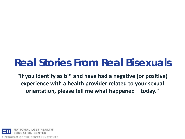### **Real Stories From Real Bisexuals**

**"If you identify as bi\* and have had a negative (or positive) experience with a health provider related to your sexual orientation, please tell me what happened – today."**

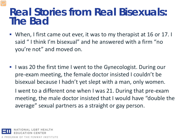- When, I first came out ever, it was to my therapist at 16 or 17. I said " I think I'm bisexual" and he answered with a firm "no you're not" and moved on.
- I was 20 the first time I went to the Gynecologist. During our pre-exam meeting, the female doctor insisted I couldn't be bisexual because I hadn't yet slept with a man, only women.

I went to a different one when I was 21. During that pre-exam meeting, the male doctor insisted that I would have "double the average" sexual partners as a straight or gay person.

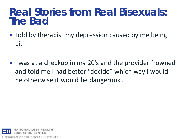- **Told by therapist my depression caused by me being** bi.
- I was at a checkup in my 20's and the provider frowned and told me I had better "decide" which way I would be otherwise it would be dangerous…

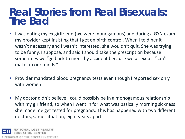- I was dating my ex girlfriend (we were monogamous) and during a GYN exam my provider kept insisting that I get on birth control. When I told her it wasn't necessary and I wasn't interested, she wouldn't quit. She was trying to be funny, I suppose, and said I should take the prescription because sometimes we "go back to men" by accident because we bisexuals "can't make up our minds."
- Provider mandated blood pregnancy tests even though I reported sex only with women.
- My doctor didn't believe I could possibly be in a monogamous relationship with my girlfriend, so when I went in for what was basically morning sickness she made me get tested for pregnancy. This has happened with two different doctors, same situation, eight years apart.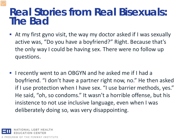- At my first gyno visit, the way my doctor asked if I was sexually active was, "Do you have a boyfriend?" Right. Because that's the only way I could be having sex. There were no follow up questions.
- I recently went to an OBGYN and he asked me if I had a boyfriend. "I don't have a partner right now, no." He then asked if I use protection when I have sex. "I use barrier methods, yes." He said, "oh, so condoms." It wasn't a horrible offense, but his insistence to not use inclusive language, even when I was deliberately doing so, was very disappointing.

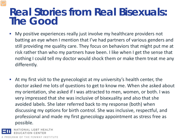- My positive experiences really just involve my healthcare providers not batting an eye when I mention that I've had partners of various genders and still providing me quality care. They focus on behaviors that might put me at risk rather than who my partners have been. I like when I get the sense that nothing I could tell my doctor would shock them or make them treat me any differently.
- At my first visit to the gynecologist at my university's health center, the doctor asked me lots of questions to get to know me. When she asked about my orientation, she asked if I was attracted to men, women, or both. I was very impressed that she was inclusive of bisexuality and also that she avoided labels. She later referred back to my response (both) when discussing my options for birth control. She was inclusive, respectful, and professional and made my first gynecology appointment as stress free as possible.

۱ RAM OF THE FENWAY INSTITUTE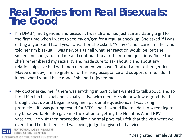- I'm DFAB\*, multigender, and bisexual. I was 18 and had just started dating a girl for the first time when I went to see my ob/gyn for a regular check up. She asked if I was dating anyone and I said yes, I was. Then she asked, "A boy?" and I corrected her and told her I'm bisexual. I was nervous as hell what her reaction would be, but she smiled and congratulated me and continued to ask the routine questions. Since then, she's remembered my sexuality and made sure to ask about it and about any relationships I've had with men or women (we haven't talked about other genders. Maybe one day). I'm so grateful for her easy acceptance and support of me; I don't know what I would have done if she had rejected me.
- My doctor asked me if there was anything in particular I wanted to talk about, and so I told him I'm bisexual and sexually active with men. He said how it was good that I brought that up and began asking me appropriate questions, if I was using protection, if I was getting tested for STD's and if I would like to add HIV screening to my bloodwork. He also gave me the option of getting the Hepatitis A and HPV vaccines. The visit then proceeded like a normal physical. I felt that the visit went well overall and I didn't feel like I was being judged or given bad advice.

NATIONAL LGBT HEALTH **DUCATION CENTER** 

A PROGRAM OF THE FENWAY INSTITUTE

\*Designated Female At Birth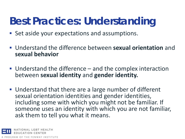### **Best Practices: Understanding**

- Set aside your expectations and assumptions.
- Understand the difference between **sexual orientation** and **sexual behavior**
- Understand the difference and the complex interaction between **sexual identity** and **gender identity.**
- Understand that there are a large number of different sexual orientation identities and gender identities, including some with which you might not be familiar. If someone uses an identity with which you are not familiar, ask them to tell you what it means.

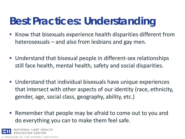### **Best Practices: Understanding**

- Know that bisexuals experience health disparities different from heterosexuals – and also from lesbians and gay men.
- Understand that bisexual people in different-sex relationships still face health, mental health, safety and social disparities.
- Understand that individual bisexuals have unique experiences that intersect with other aspects of our identity (race, ethnicity, gender, age, social class, geography, ability, etc.)
- Remember that people may be afraid to come out to you and do everything you can to make them feel safe.

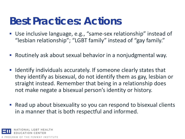### **Best Practices: Actions**

- Use inclusive language, e.g., "same-sex relationship" instead of "lesbian relationship"; "LGBT family" instead of "gay family."
- Routinely ask about sexual behavior in a nonjudgmental way.
- **Indentify individuals accurately. If someone clearly states that** they identify as bisexual, do not identify them as gay, lesbian or straight instead. Remember that being in a relationship does not make negate a bisexual person's identity or history.
- Read up about bisexuality so you can respond to bisexual clients in a manner that is both respectful and informed.

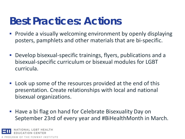### **Best Practices: Actions**

- Provide a visually welcoming environment by openly displaying posters, pamphlets and other materials that are bi-specific.
- Develop bisexual-specific trainings, flyers, publications and a bisexual-specific curriculum or bisexual modules for LGBT curricula.
- Look up some of the resources provided at the end of this presentation. Create relationships with local and national bisexual organizations.
- Have a bi flag on hand for Celebrate Bisexuality Day on September 23rd of every year and #BiHealthMonth in March.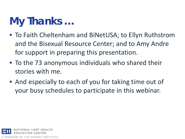# **My Thanks …**

- To Faith Cheltenham and BiNetUSA; to Ellyn Ruthstrom and the Bisexual Resource Center; and to Amy Andre for support in preparing this presentation.
- To the 73 anonymous individuals who shared their stories with me.
- And especially to each of you for taking time out of your busy schedules to participate in this webinar.

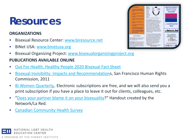### **Resources**

#### **ORGANIZATIONS**

- Bisexual Resource Center: [www.biresource.net](http://www.biresource.net)
- BiNet USA: [www.binetusa.org](http://www.binetusa.org)
- Bisexual Organizing Project: [www.bisexualorganizingproject.org](http://www.bisexualorganizingproject.org)

#### **PUBLICATIONS AVAILABLE ONLINE**

- [Out For Health, Healthy People 2020 Bisexual Fact Sheet](http://www.lgbttobacco.org/files/HP2020BisexualPeople.pdf)
- [Bisexual Invisibility: Impacts and Recommendations](http://sf-hrc.org/sites/sf-hrc.org/files/migrated/FileCenter/Documents/HRC_Publications/Articles/Bisexual_Invisiblity_Impacts_and_Recommendations_March_2011.pdf), San Francisco Human Rights Commission, 2011
- **[Bi Women Quarterly](http://www.biwomenboston.org),.** Electronic subscriptions are free, and we will also send you a print subscription if you have a place to leave it out for clients, colleagues, etc.
- " "Does your partner blame it on your bisexuality?" Handout created by the Network/La Red.
- [Canadian Community Health Survey](http://www.statcan.gc.ca/)



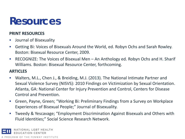### **Resources**

#### **PRINT RESOURCES**

- Journal of Bisexuality
- Getting Bi: Voices of Bisexuals Around the World, ed. Robyn Ochs and Sarah Rowley. Boston: Bisexual Resource Center, 2009.
- RECOGNIZE: The Voices of Bisexual Men An Anthology ed. Robyn Ochs and H. Sharif Williams. Boston: Bisexual Resource Center, forthcoming.

#### **ARTICLES**

- Walters, M.L., Chen J., & Breiding, M.J. (2013). The National Intimate Partner and Sexual Violence Survey (NISVS): 2010 Findings on Victimization by Sexual Orientation. Atlanta, GA: National Center for Injury Prevention and Control, Centers for Disease Control and Prevention.
- Green, Payne, Green; "Working Bi: Preliminary Findings from a Survey on Workplace Experiences of Bisexual People;" Journal of Bisexuality.
- Tweedy & Yescavage; "Employment Discrimination Against Bisexuals and Others with Fluid Identities;" Social Science Research Network.